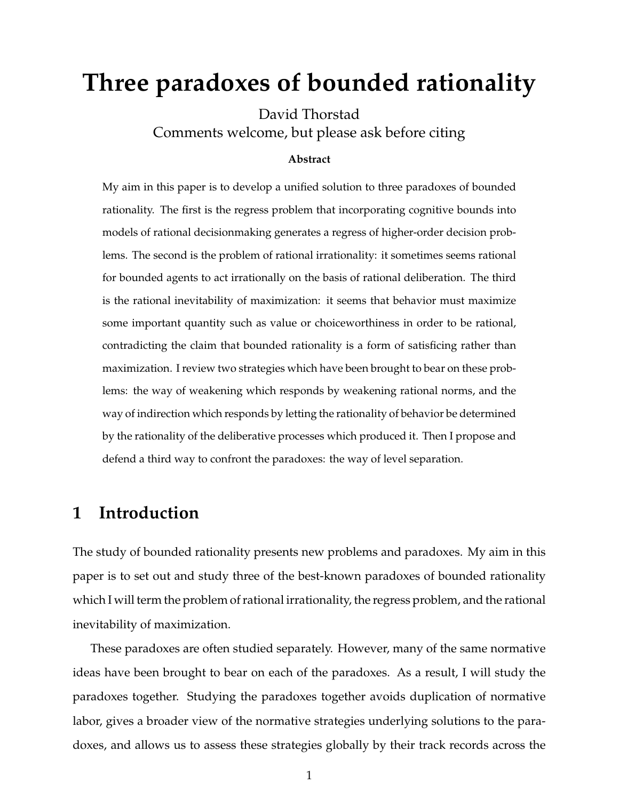# **Three paradoxes of bounded rationality**

David Thorstad Comments welcome, but please ask before citing

#### **Abstract**

My aim in this paper is to develop a unified solution to three paradoxes of bounded rationality. The first is the regress problem that incorporating cognitive bounds into models of rational decisionmaking generates a regress of higher-order decision problems. The second is the problem of rational irrationality: it sometimes seems rational for bounded agents to act irrationally on the basis of rational deliberation. The third is the rational inevitability of maximization: it seems that behavior must maximize some important quantity such as value or choiceworthiness in order to be rational, contradicting the claim that bounded rationality is a form of satisficing rather than maximization. I review two strategies which have been brought to bear on these problems: the way of weakening which responds by weakening rational norms, and the way of indirection which responds by letting the rationality of behavior be determined by the rationality of the deliberative processes which produced it. Then I propose and defend a third way to confront the paradoxes: the way of level separation.

## **1 Introduction**

The study of bounded rationality presents new problems and paradoxes. My aim in this paper is to set out and study three of the best-known paradoxes of bounded rationality which I will term the problem of rational irrationality, the regress problem, and the rational inevitability of maximization.

These paradoxes are often studied separately. However, many of the same normative ideas have been brought to bear on each of the paradoxes. As a result, I will study the paradoxes together. Studying the paradoxes together avoids duplication of normative labor, gives a broader view of the normative strategies underlying solutions to the paradoxes, and allows us to assess these strategies globally by their track records across the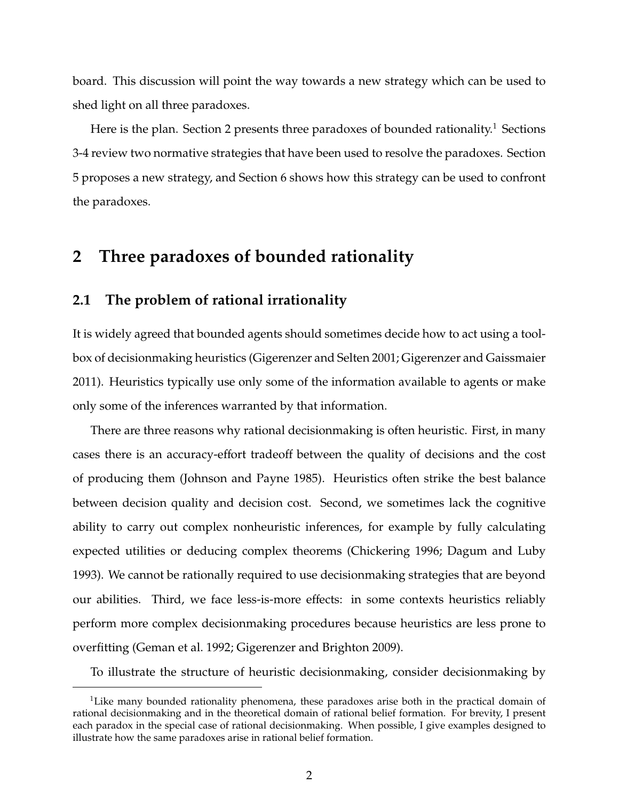board. This discussion will point the way towards a new strategy which can be used to shed light on all three paradoxes.

Here is the plan. Section 2 presents three paradoxes of bounded rationality.<sup>1</sup> Sections 3-4 review two normative strategies that have been used to resolve the paradoxes. Section 5 proposes a new strategy, and Section 6 shows how this strategy can be used to confront the paradoxes.

## **2 Three paradoxes of bounded rationality**

#### **2.1 The problem of rational irrationality**

It is widely agreed that bounded agents should sometimes decide how to act using a toolbox of decisionmaking heuristics (Gigerenzer and Selten 2001; Gigerenzer and Gaissmaier 2011). Heuristics typically use only some of the information available to agents or make only some of the inferences warranted by that information.

There are three reasons why rational decisionmaking is often heuristic. First, in many cases there is an accuracy-effort tradeoff between the quality of decisions and the cost of producing them (Johnson and Payne 1985). Heuristics often strike the best balance between decision quality and decision cost. Second, we sometimes lack the cognitive ability to carry out complex nonheuristic inferences, for example by fully calculating expected utilities or deducing complex theorems (Chickering 1996; Dagum and Luby 1993). We cannot be rationally required to use decisionmaking strategies that are beyond our abilities. Third, we face less-is-more effects: in some contexts heuristics reliably perform more complex decisionmaking procedures because heuristics are less prone to overfitting (Geman et al. 1992; Gigerenzer and Brighton 2009).

To illustrate the structure of heuristic decisionmaking, consider decisionmaking by

<sup>&</sup>lt;sup>1</sup>Like many bounded rationality phenomena, these paradoxes arise both in the practical domain of rational decisionmaking and in the theoretical domain of rational belief formation. For brevity, I present each paradox in the special case of rational decisionmaking. When possible, I give examples designed to illustrate how the same paradoxes arise in rational belief formation.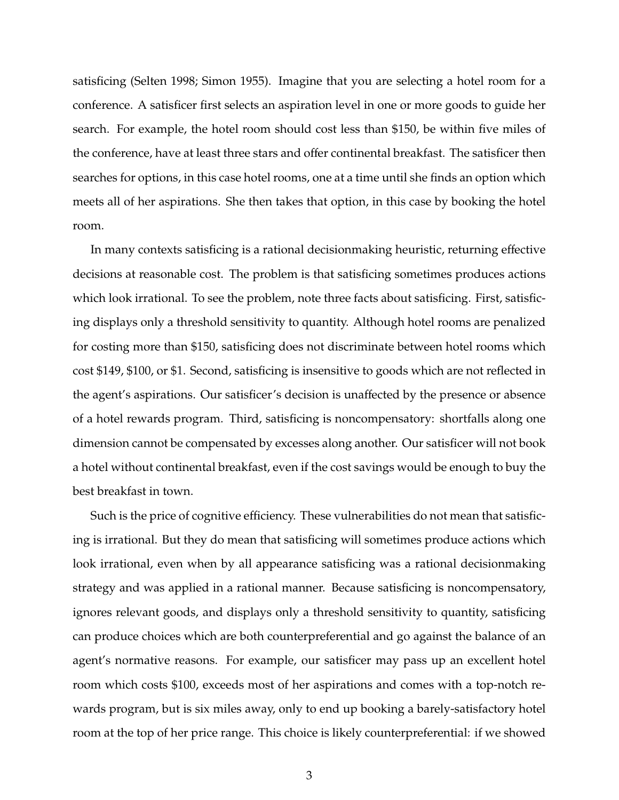satisficing (Selten 1998; Simon 1955). Imagine that you are selecting a hotel room for a conference. A satisficer first selects an aspiration level in one or more goods to guide her search. For example, the hotel room should cost less than \$150, be within five miles of the conference, have at least three stars and offer continental breakfast. The satisficer then searches for options, in this case hotel rooms, one at a time until she finds an option which meets all of her aspirations. She then takes that option, in this case by booking the hotel room.

In many contexts satisficing is a rational decisionmaking heuristic, returning effective decisions at reasonable cost. The problem is that satisficing sometimes produces actions which look irrational. To see the problem, note three facts about satisficing. First, satisficing displays only a threshold sensitivity to quantity. Although hotel rooms are penalized for costing more than \$150, satisficing does not discriminate between hotel rooms which cost \$149, \$100, or \$1. Second, satisficing is insensitive to goods which are not reflected in the agent's aspirations. Our satisficer's decision is unaffected by the presence or absence of a hotel rewards program. Third, satisficing is noncompensatory: shortfalls along one dimension cannot be compensated by excesses along another. Our satisficer will not book a hotel without continental breakfast, even if the cost savings would be enough to buy the best breakfast in town.

Such is the price of cognitive efficiency. These vulnerabilities do not mean that satisficing is irrational. But they do mean that satisficing will sometimes produce actions which look irrational, even when by all appearance satisficing was a rational decisionmaking strategy and was applied in a rational manner. Because satisficing is noncompensatory, ignores relevant goods, and displays only a threshold sensitivity to quantity, satisficing can produce choices which are both counterpreferential and go against the balance of an agent's normative reasons. For example, our satisficer may pass up an excellent hotel room which costs \$100, exceeds most of her aspirations and comes with a top-notch rewards program, but is six miles away, only to end up booking a barely-satisfactory hotel room at the top of her price range. This choice is likely counterpreferential: if we showed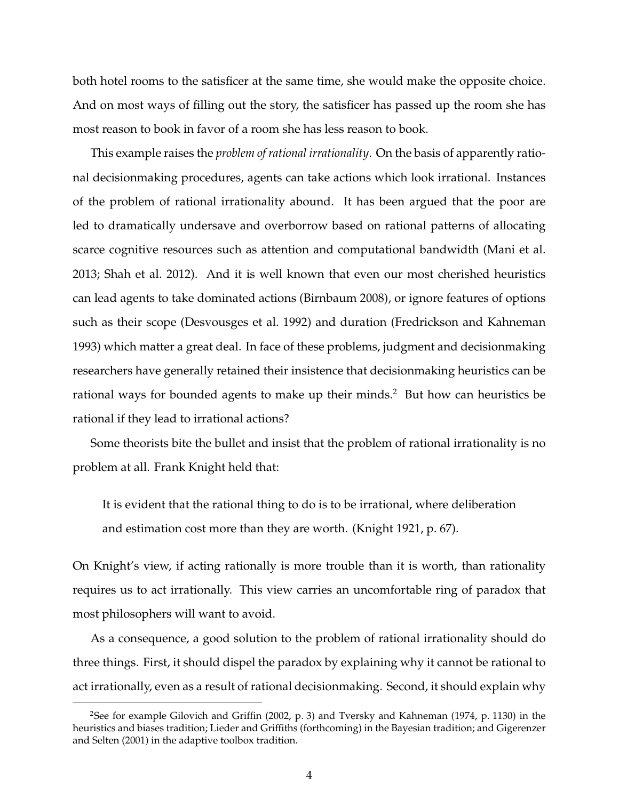both hotel rooms to the satisficer at the same time, she would make the opposite choice. And on most ways of filling out the story, the satisficer has passed up the room she has most reason to book in favor of a room she has less reason to book.

This example raises the *problem of rational irrationality*. On the basis of apparently rational decisionmaking procedures, agents can take actions which look irrational. Instances of the problem of rational irrationality abound. It has been argued that the poor are led to dramatically undersave and overborrow based on rational patterns of allocating scarce cognitive resources such as attention and computational bandwidth (Mani et al. 2013; Shah et al. 2012). And it is well known that even our most cherished heuristics can lead agents to take dominated actions (Birnbaum 2008), or ignore features of options such as their scope (Desvousges et al. 1992) and duration (Fredrickson and Kahneman 1993) which matter a great deal. In face of these problems, judgment and decisionmaking researchers have generally retained their insistence that decisionmaking heuristics can be rational ways for bounded agents to make up their minds.<sup>2</sup> But how can heuristics be rational if they lead to irrational actions?

Some theorists bite the bullet and insist that the problem of rational irrationality is no problem at all. Frank Knight held that:

It is evident that the rational thing to do is to be irrational, where deliberation and estimation cost more than they are worth. (Knight 1921, p. 67).

On Knight's view, if acting rationally is more trouble than it is worth, than rationality requires us to act irrationally. This view carries an uncomfortable ring of paradox that most philosophers will want to avoid.

As a consequence, a good solution to the problem of rational irrationality should do three things. First, it should dispel the paradox by explaining why it cannot be rational to act irrationally, even as a result of rational decisionmaking. Second, it should explain why

<sup>2</sup>See for example Gilovich and Griffin (2002, p. 3) and Tversky and Kahneman (1974, p. 1130) in the heuristics and biases tradition; Lieder and Griffiths (forthcoming) in the Bayesian tradition; and Gigerenzer and Selten (2001) in the adaptive toolbox tradition.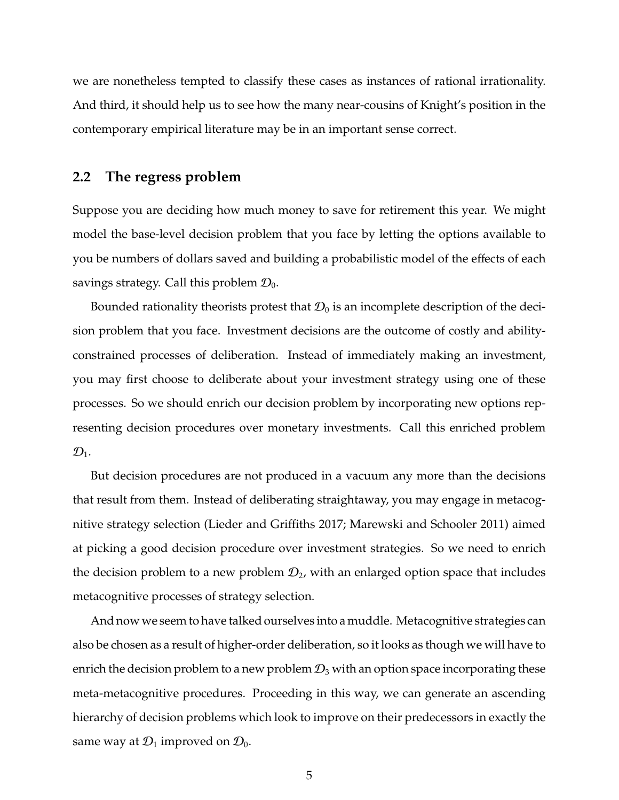we are nonetheless tempted to classify these cases as instances of rational irrationality. And third, it should help us to see how the many near-cousins of Knight's position in the contemporary empirical literature may be in an important sense correct.

#### **2.2 The regress problem**

Suppose you are deciding how much money to save for retirement this year. We might model the base-level decision problem that you face by letting the options available to you be numbers of dollars saved and building a probabilistic model of the effects of each savings strategy. Call this problem  $\mathcal{D}_0$ .

Bounded rationality theorists protest that  $\mathcal{D}_0$  is an incomplete description of the decision problem that you face. Investment decisions are the outcome of costly and abilityconstrained processes of deliberation. Instead of immediately making an investment, you may first choose to deliberate about your investment strategy using one of these processes. So we should enrich our decision problem by incorporating new options representing decision procedures over monetary investments. Call this enriched problem  $\mathcal{D}_1$ .

But decision procedures are not produced in a vacuum any more than the decisions that result from them. Instead of deliberating straightaway, you may engage in metacognitive strategy selection (Lieder and Griffiths 2017; Marewski and Schooler 2011) aimed at picking a good decision procedure over investment strategies. So we need to enrich the decision problem to a new problem  $\mathcal{D}_2$ , with an enlarged option space that includes metacognitive processes of strategy selection.

And now we seem to have talked ourselves into a muddle. Metacognitive strategies can also be chosen as a result of higher-order deliberation, so it looks as though we will have to enrich the decision problem to a new problem  $\mathcal{D}_3$  with an option space incorporating these meta-metacognitive procedures. Proceeding in this way, we can generate an ascending hierarchy of decision problems which look to improve on their predecessors in exactly the same way at  $\mathcal{D}_1$  improved on  $\mathcal{D}_0$ .

5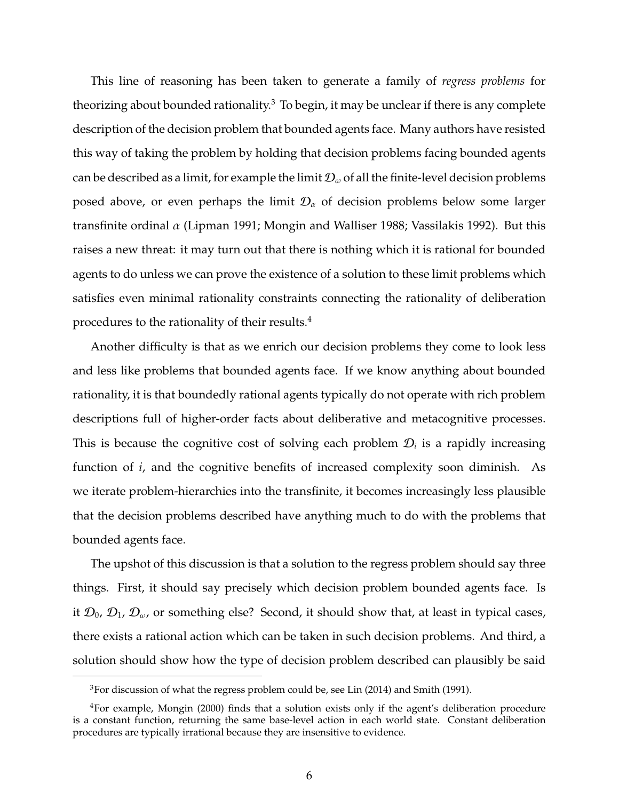This line of reasoning has been taken to generate a family of *regress problems* for theorizing about bounded rationality.<sup>3</sup> To begin, it may be unclear if there is any complete description of the decision problem that bounded agents face. Many authors have resisted this way of taking the problem by holding that decision problems facing bounded agents can be described as a limit, for example the limit  $\mathcal{D}_{\omega}$  of all the finite-level decision problems posed above, or even perhaps the limit  $\mathcal{D}_{\alpha}$  of decision problems below some larger transfinite ordinal  $\alpha$  (Lipman 1991; Mongin and Walliser 1988; Vassilakis 1992). But this raises a new threat: it may turn out that there is nothing which it is rational for bounded agents to do unless we can prove the existence of a solution to these limit problems which satisfies even minimal rationality constraints connecting the rationality of deliberation procedures to the rationality of their results.<sup>4</sup>

Another difficulty is that as we enrich our decision problems they come to look less and less like problems that bounded agents face. If we know anything about bounded rationality, it is that boundedly rational agents typically do not operate with rich problem descriptions full of higher-order facts about deliberative and metacognitive processes. This is because the cognitive cost of solving each problem  $\mathcal{D}_i$  is a rapidly increasing function of *i*, and the cognitive benefits of increased complexity soon diminish. As we iterate problem-hierarchies into the transfinite, it becomes increasingly less plausible that the decision problems described have anything much to do with the problems that bounded agents face.

The upshot of this discussion is that a solution to the regress problem should say three things. First, it should say precisely which decision problem bounded agents face. Is it  $\mathcal{D}_0$ ,  $\mathcal{D}_1$ ,  $\mathcal{D}_{\omega}$ , or something else? Second, it should show that, at least in typical cases, there exists a rational action which can be taken in such decision problems. And third, a solution should show how the type of decision problem described can plausibly be said

<sup>3</sup>For discussion of what the regress problem could be, see Lin (2014) and Smith (1991).

<sup>4</sup>For example, Mongin (2000) finds that a solution exists only if the agent's deliberation procedure is a constant function, returning the same base-level action in each world state. Constant deliberation procedures are typically irrational because they are insensitive to evidence.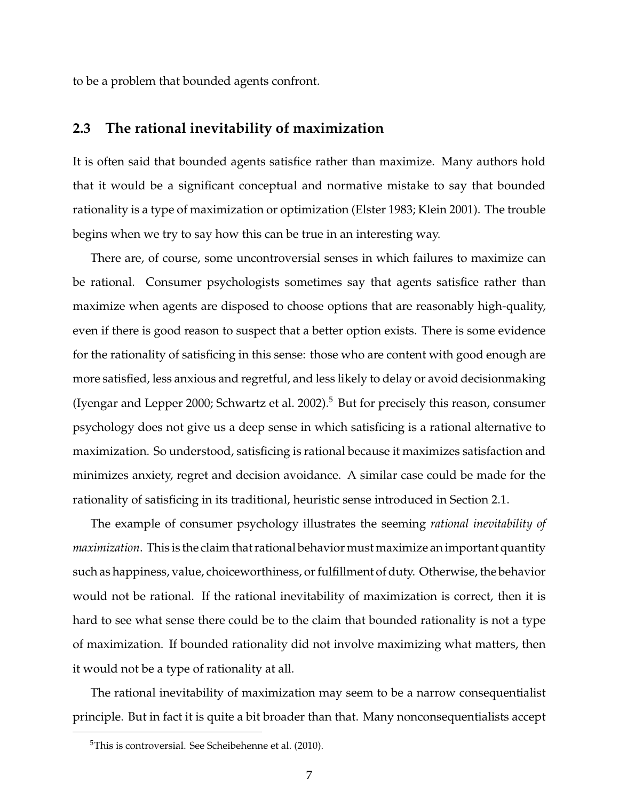to be a problem that bounded agents confront.

#### **2.3 The rational inevitability of maximization**

It is often said that bounded agents satisfice rather than maximize. Many authors hold that it would be a significant conceptual and normative mistake to say that bounded rationality is a type of maximization or optimization (Elster 1983; Klein 2001). The trouble begins when we try to say how this can be true in an interesting way.

There are, of course, some uncontroversial senses in which failures to maximize can be rational. Consumer psychologists sometimes say that agents satisfice rather than maximize when agents are disposed to choose options that are reasonably high-quality, even if there is good reason to suspect that a better option exists. There is some evidence for the rationality of satisficing in this sense: those who are content with good enough are more satisfied, less anxious and regretful, and less likely to delay or avoid decisionmaking (Iyengar and Lepper 2000; Schwartz et al. 2002).<sup>5</sup> But for precisely this reason, consumer psychology does not give us a deep sense in which satisficing is a rational alternative to maximization. So understood, satisficing is rational because it maximizes satisfaction and minimizes anxiety, regret and decision avoidance. A similar case could be made for the rationality of satisficing in its traditional, heuristic sense introduced in Section 2.1.

The example of consumer psychology illustrates the seeming *rational inevitability of maximization*. This is the claim that rational behavior must maximize an important quantity such as happiness, value, choiceworthiness, or fulfillment of duty. Otherwise, the behavior would not be rational. If the rational inevitability of maximization is correct, then it is hard to see what sense there could be to the claim that bounded rationality is not a type of maximization. If bounded rationality did not involve maximizing what matters, then it would not be a type of rationality at all.

The rational inevitability of maximization may seem to be a narrow consequentialist principle. But in fact it is quite a bit broader than that. Many nonconsequentialists accept

<sup>5</sup>This is controversial. See Scheibehenne et al. (2010).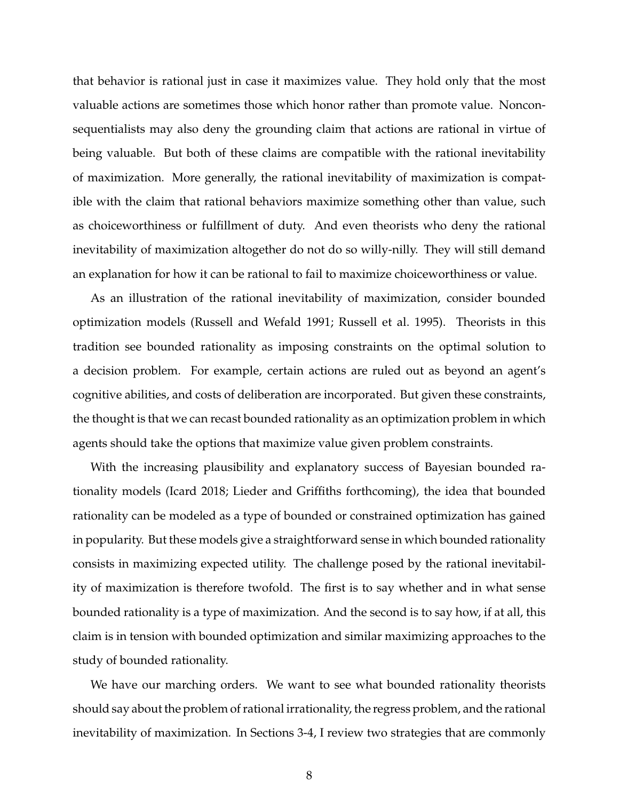that behavior is rational just in case it maximizes value. They hold only that the most valuable actions are sometimes those which honor rather than promote value. Nonconsequentialists may also deny the grounding claim that actions are rational in virtue of being valuable. But both of these claims are compatible with the rational inevitability of maximization. More generally, the rational inevitability of maximization is compatible with the claim that rational behaviors maximize something other than value, such as choiceworthiness or fulfillment of duty. And even theorists who deny the rational inevitability of maximization altogether do not do so willy-nilly. They will still demand an explanation for how it can be rational to fail to maximize choiceworthiness or value.

As an illustration of the rational inevitability of maximization, consider bounded optimization models (Russell and Wefald 1991; Russell et al. 1995). Theorists in this tradition see bounded rationality as imposing constraints on the optimal solution to a decision problem. For example, certain actions are ruled out as beyond an agent's cognitive abilities, and costs of deliberation are incorporated. But given these constraints, the thought is that we can recast bounded rationality as an optimization problem in which agents should take the options that maximize value given problem constraints.

With the increasing plausibility and explanatory success of Bayesian bounded rationality models (Icard 2018; Lieder and Griffiths forthcoming), the idea that bounded rationality can be modeled as a type of bounded or constrained optimization has gained in popularity. But these models give a straightforward sense in which bounded rationality consists in maximizing expected utility. The challenge posed by the rational inevitability of maximization is therefore twofold. The first is to say whether and in what sense bounded rationality is a type of maximization. And the second is to say how, if at all, this claim is in tension with bounded optimization and similar maximizing approaches to the study of bounded rationality.

We have our marching orders. We want to see what bounded rationality theorists should say about the problem of rational irrationality, the regress problem, and the rational inevitability of maximization. In Sections 3-4, I review two strategies that are commonly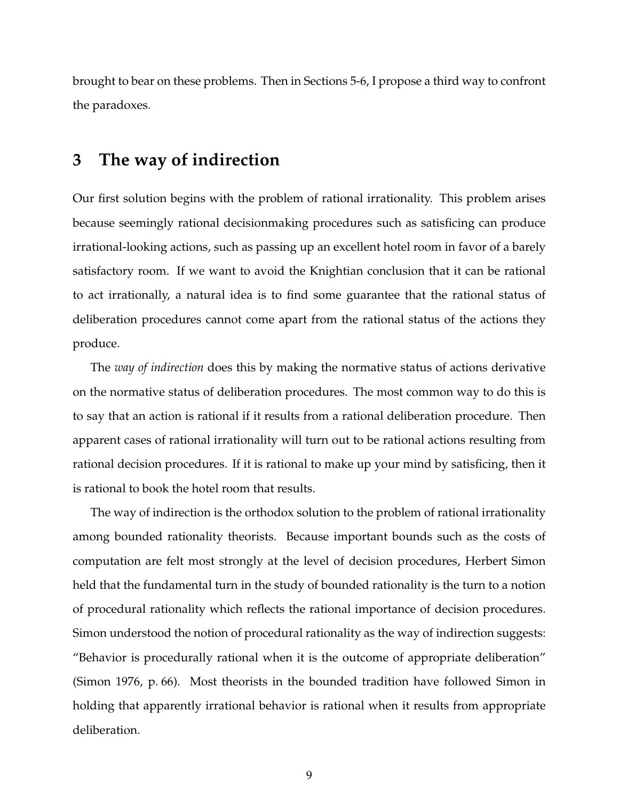brought to bear on these problems. Then in Sections 5-6, I propose a third way to confront the paradoxes.

## **3 The way of indirection**

Our first solution begins with the problem of rational irrationality. This problem arises because seemingly rational decisionmaking procedures such as satisficing can produce irrational-looking actions, such as passing up an excellent hotel room in favor of a barely satisfactory room. If we want to avoid the Knightian conclusion that it can be rational to act irrationally, a natural idea is to find some guarantee that the rational status of deliberation procedures cannot come apart from the rational status of the actions they produce.

The *way of indirection* does this by making the normative status of actions derivative on the normative status of deliberation procedures. The most common way to do this is to say that an action is rational if it results from a rational deliberation procedure. Then apparent cases of rational irrationality will turn out to be rational actions resulting from rational decision procedures. If it is rational to make up your mind by satisficing, then it is rational to book the hotel room that results.

The way of indirection is the orthodox solution to the problem of rational irrationality among bounded rationality theorists. Because important bounds such as the costs of computation are felt most strongly at the level of decision procedures, Herbert Simon held that the fundamental turn in the study of bounded rationality is the turn to a notion of procedural rationality which reflects the rational importance of decision procedures. Simon understood the notion of procedural rationality as the way of indirection suggests: "Behavior is procedurally rational when it is the outcome of appropriate deliberation" (Simon 1976, p. 66). Most theorists in the bounded tradition have followed Simon in holding that apparently irrational behavior is rational when it results from appropriate deliberation.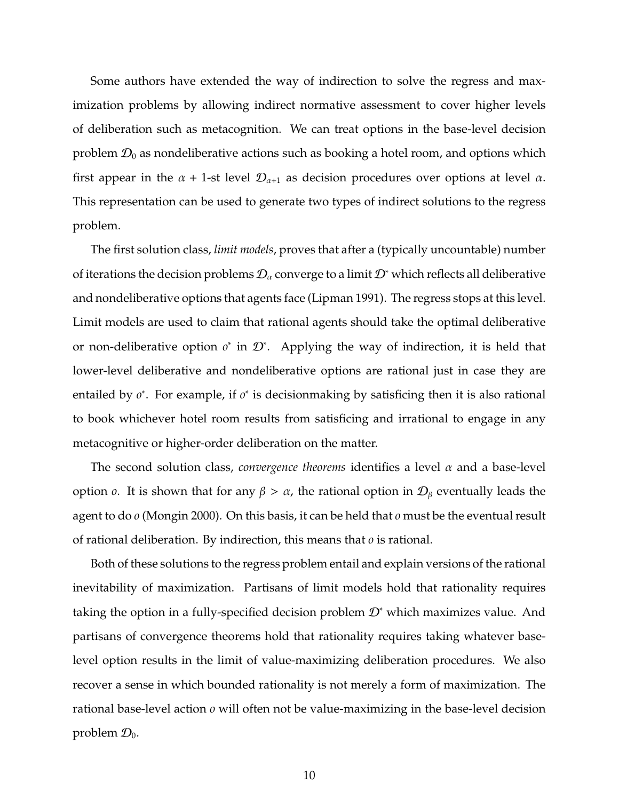Some authors have extended the way of indirection to solve the regress and maximization problems by allowing indirect normative assessment to cover higher levels of deliberation such as metacognition. We can treat options in the base-level decision problem  $\mathcal{D}_0$  as nondeliberative actions such as booking a hotel room, and options which first appear in the  $\alpha$  + 1-st level  $\mathcal{D}_{\alpha+1}$  as decision procedures over options at level  $\alpha$ . This representation can be used to generate two types of indirect solutions to the regress problem.

The first solution class, *limit models*, proves that after a (typically uncountable) number of iterations the decision problems  $\mathcal{D}_{\alpha}$  converge to a limit  $\mathcal{D}^*$  which reflects all deliberative and nondeliberative options that agents face (Lipman 1991). The regress stops at this level. Limit models are used to claim that rational agents should take the optimal deliberative or non-deliberative option *o*<sup>\*</sup> in  $\mathcal{D}^*$ . Applying the way of indirection, it is held that lower-level deliberative and nondeliberative options are rational just in case they are entailed by *o*<sup>\*</sup>. For example, if *o*<sup>\*</sup> is decisionmaking by satisficing then it is also rational to book whichever hotel room results from satisficing and irrational to engage in any metacognitive or higher-order deliberation on the matter.

The second solution class, *convergence theorems* identifies a level  $\alpha$  and a base-level option *o*. It is shown that for any  $β > α$ , the rational option in  $D<sub>β</sub>$  eventually leads the agent to do *o* (Mongin 2000). On this basis, it can be held that *o* must be the eventual result of rational deliberation. By indirection, this means that *o* is rational.

Both of these solutions to the regress problem entail and explain versions of the rational inevitability of maximization. Partisans of limit models hold that rationality requires taking the option in a fully-specified decision problem  $\mathcal{D}^*$  which maximizes value. And partisans of convergence theorems hold that rationality requires taking whatever baselevel option results in the limit of value-maximizing deliberation procedures. We also recover a sense in which bounded rationality is not merely a form of maximization. The rational base-level action *o* will often not be value-maximizing in the base-level decision problem  $\mathcal{D}_0$ .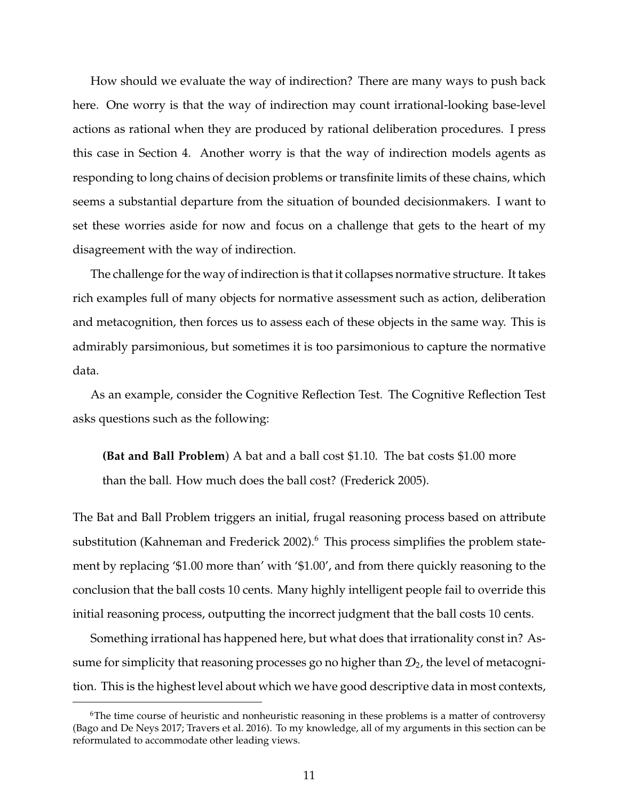How should we evaluate the way of indirection? There are many ways to push back here. One worry is that the way of indirection may count irrational-looking base-level actions as rational when they are produced by rational deliberation procedures. I press this case in Section 4. Another worry is that the way of indirection models agents as responding to long chains of decision problems or transfinite limits of these chains, which seems a substantial departure from the situation of bounded decisionmakers. I want to set these worries aside for now and focus on a challenge that gets to the heart of my disagreement with the way of indirection.

The challenge for the way of indirection is that it collapses normative structure. It takes rich examples full of many objects for normative assessment such as action, deliberation and metacognition, then forces us to assess each of these objects in the same way. This is admirably parsimonious, but sometimes it is too parsimonious to capture the normative data.

As an example, consider the Cognitive Reflection Test. The Cognitive Reflection Test asks questions such as the following:

**(Bat and Ball Problem**) A bat and a ball cost \$1.10. The bat costs \$1.00 more than the ball. How much does the ball cost? (Frederick 2005).

The Bat and Ball Problem triggers an initial, frugal reasoning process based on attribute substitution (Kahneman and Frederick 2002).<sup>6</sup> This process simplifies the problem statement by replacing '\$1.00 more than' with '\$1.00', and from there quickly reasoning to the conclusion that the ball costs 10 cents. Many highly intelligent people fail to override this initial reasoning process, outputting the incorrect judgment that the ball costs 10 cents.

Something irrational has happened here, but what does that irrationality const in? Assume for simplicity that reasoning processes go no higher than  $\mathcal{D}_2$ , the level of metacognition. This is the highest level about which we have good descriptive data in most contexts,

<sup>&</sup>lt;sup>6</sup>The time course of heuristic and nonheuristic reasoning in these problems is a matter of controversy (Bago and De Neys 2017; Travers et al. 2016). To my knowledge, all of my arguments in this section can be reformulated to accommodate other leading views.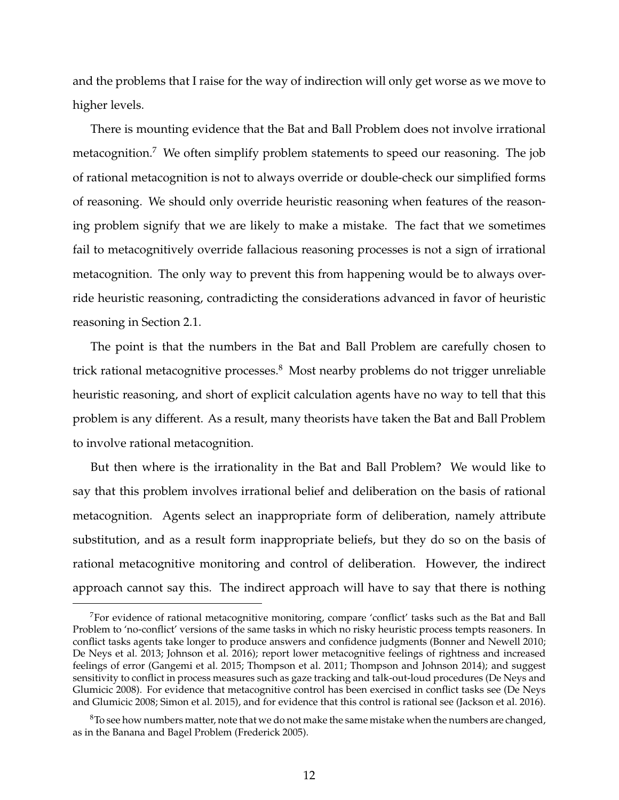and the problems that I raise for the way of indirection will only get worse as we move to higher levels.

There is mounting evidence that the Bat and Ball Problem does not involve irrational metacognition.<sup>7</sup> We often simplify problem statements to speed our reasoning. The job of rational metacognition is not to always override or double-check our simplified forms of reasoning. We should only override heuristic reasoning when features of the reasoning problem signify that we are likely to make a mistake. The fact that we sometimes fail to metacognitively override fallacious reasoning processes is not a sign of irrational metacognition. The only way to prevent this from happening would be to always override heuristic reasoning, contradicting the considerations advanced in favor of heuristic reasoning in Section 2.1.

The point is that the numbers in the Bat and Ball Problem are carefully chosen to trick rational metacognitive processes.<sup>8</sup> Most nearby problems do not trigger unreliable heuristic reasoning, and short of explicit calculation agents have no way to tell that this problem is any different. As a result, many theorists have taken the Bat and Ball Problem to involve rational metacognition.

But then where is the irrationality in the Bat and Ball Problem? We would like to say that this problem involves irrational belief and deliberation on the basis of rational metacognition. Agents select an inappropriate form of deliberation, namely attribute substitution, and as a result form inappropriate beliefs, but they do so on the basis of rational metacognitive monitoring and control of deliberation. However, the indirect approach cannot say this. The indirect approach will have to say that there is nothing

<sup>7</sup>For evidence of rational metacognitive monitoring, compare 'conflict' tasks such as the Bat and Ball Problem to 'no-conflict' versions of the same tasks in which no risky heuristic process tempts reasoners. In conflict tasks agents take longer to produce answers and confidence judgments (Bonner and Newell 2010; De Neys et al. 2013; Johnson et al. 2016); report lower metacognitive feelings of rightness and increased feelings of error (Gangemi et al. 2015; Thompson et al. 2011; Thompson and Johnson 2014); and suggest sensitivity to conflict in process measures such as gaze tracking and talk-out-loud procedures (De Neys and Glumicic 2008). For evidence that metacognitive control has been exercised in conflict tasks see (De Neys and Glumicic 2008; Simon et al. 2015), and for evidence that this control is rational see (Jackson et al. 2016).

 $8T_0$  see how numbers matter, note that we do not make the same mistake when the numbers are changed, as in the Banana and Bagel Problem (Frederick 2005).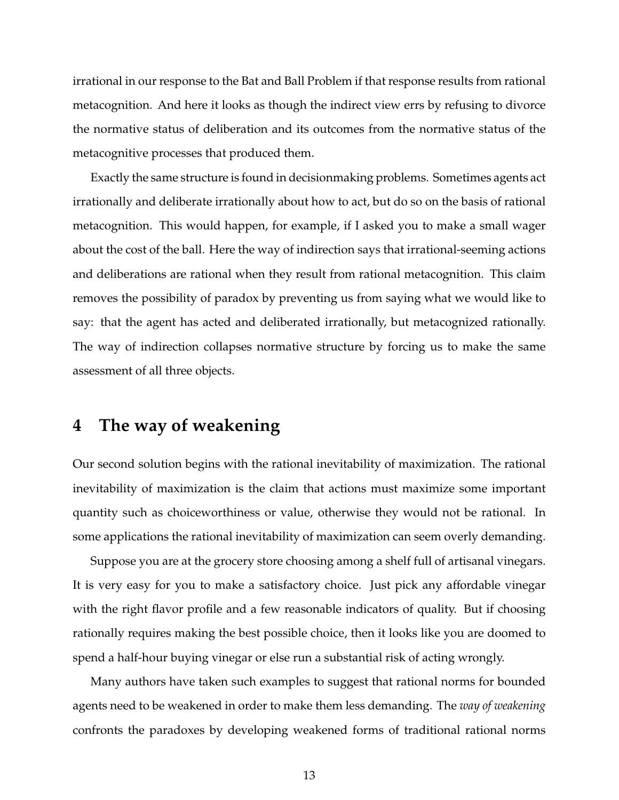irrational in our response to the Bat and Ball Problem if that response results from rational metacognition. And here it looks as though the indirect view errs by refusing to divorce the normative status of deliberation and its outcomes from the normative status of the metacognitive processes that produced them.

Exactly the same structure is found in decisionmaking problems. Sometimes agents act irrationally and deliberate irrationally about how to act, but do so on the basis of rational metacognition. This would happen, for example, if I asked you to make a small wager about the cost of the ball. Here the way of indirection says that irrational-seeming actions and deliberations are rational when they result from rational metacognition. This claim removes the possibility of paradox by preventing us from saying what we would like to say: that the agent has acted and deliberated irrationally, but metacognized rationally. The way of indirection collapses normative structure by forcing us to make the same assessment of all three objects.

## **4 The way of weakening**

Our second solution begins with the rational inevitability of maximization. The rational inevitability of maximization is the claim that actions must maximize some important quantity such as choiceworthiness or value, otherwise they would not be rational. In some applications the rational inevitability of maximization can seem overly demanding.

Suppose you are at the grocery store choosing among a shelf full of artisanal vinegars. It is very easy for you to make a satisfactory choice. Just pick any affordable vinegar with the right flavor profile and a few reasonable indicators of quality. But if choosing rationally requires making the best possible choice, then it looks like you are doomed to spend a half-hour buying vinegar or else run a substantial risk of acting wrongly.

Many authors have taken such examples to suggest that rational norms for bounded agents need to be weakened in order to make them less demanding. The *way of weakening* confronts the paradoxes by developing weakened forms of traditional rational norms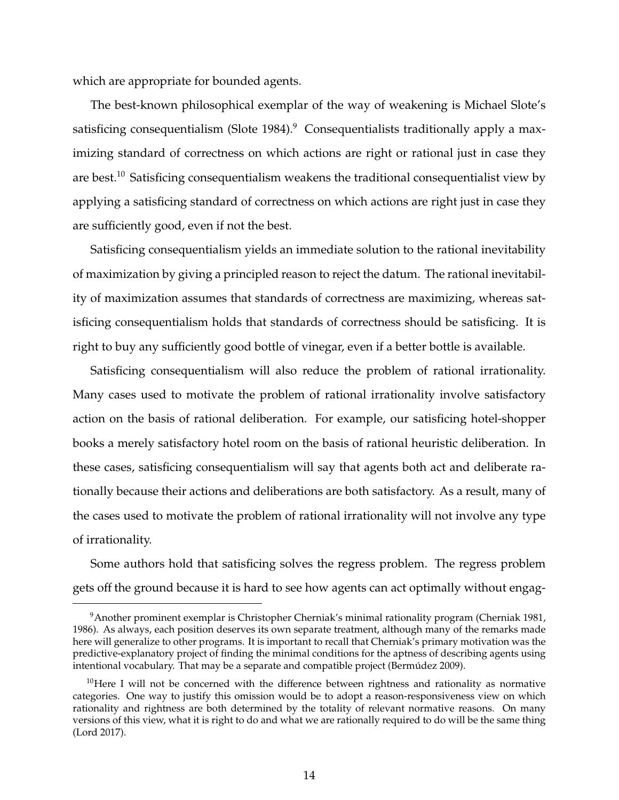which are appropriate for bounded agents.

The best-known philosophical exemplar of the way of weakening is Michael Slote's satisficing consequentialism (Slote 1984). $9$  Consequentialists traditionally apply a maximizing standard of correctness on which actions are right or rational just in case they are best.<sup>10</sup> Satisficing consequentialism weakens the traditional consequentialist view by applying a satisficing standard of correctness on which actions are right just in case they are sufficiently good, even if not the best.

Satisficing consequentialism yields an immediate solution to the rational inevitability of maximization by giving a principled reason to reject the datum. The rational inevitability of maximization assumes that standards of correctness are maximizing, whereas satisficing consequentialism holds that standards of correctness should be satisficing. It is right to buy any sufficiently good bottle of vinegar, even if a better bottle is available.

Satisficing consequentialism will also reduce the problem of rational irrationality. Many cases used to motivate the problem of rational irrationality involve satisfactory action on the basis of rational deliberation. For example, our satisficing hotel-shopper books a merely satisfactory hotel room on the basis of rational heuristic deliberation. In these cases, satisficing consequentialism will say that agents both act and deliberate rationally because their actions and deliberations are both satisfactory. As a result, many of the cases used to motivate the problem of rational irrationality will not involve any type of irrationality.

Some authors hold that satisficing solves the regress problem. The regress problem gets off the ground because it is hard to see how agents can act optimally without engag-

<sup>9</sup>Another prominent exemplar is Christopher Cherniak's minimal rationality program (Cherniak 1981, 1986). As always, each position deserves its own separate treatment, although many of the remarks made here will generalize to other programs. It is important to recall that Cherniak's primary motivation was the predictive-explanatory project of finding the minimal conditions for the aptness of describing agents using intentional vocabulary. That may be a separate and compatible project (Bermudez 2009). ´

 $10$ Here I will not be concerned with the difference between rightness and rationality as normative categories. One way to justify this omission would be to adopt a reason-responsiveness view on which rationality and rightness are both determined by the totality of relevant normative reasons. On many versions of this view, what it is right to do and what we are rationally required to do will be the same thing (Lord 2017).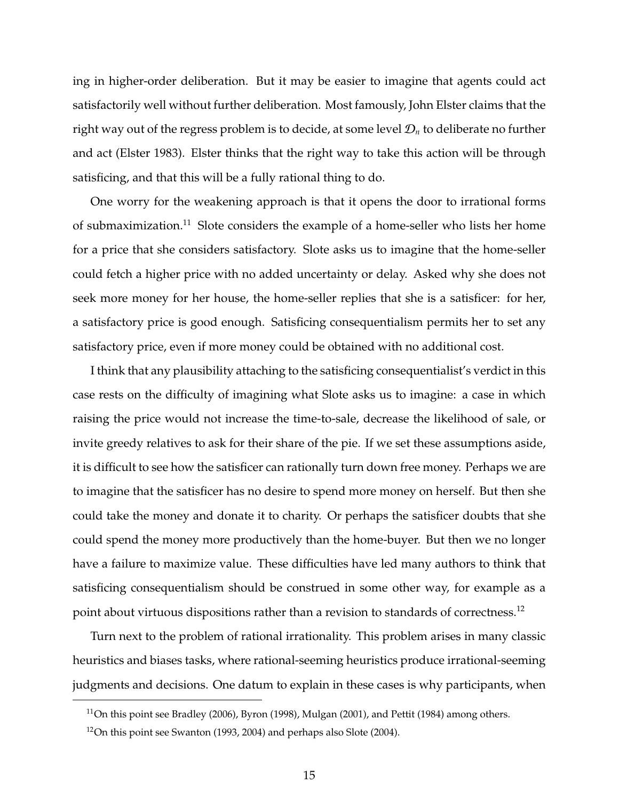ing in higher-order deliberation. But it may be easier to imagine that agents could act satisfactorily well without further deliberation. Most famously, John Elster claims that the right way out of the regress problem is to decide, at some level  $\mathcal{D}_n$  to deliberate no further and act (Elster 1983). Elster thinks that the right way to take this action will be through satisficing, and that this will be a fully rational thing to do.

One worry for the weakening approach is that it opens the door to irrational forms of submaximization.<sup>11</sup> Slote considers the example of a home-seller who lists her home for a price that she considers satisfactory. Slote asks us to imagine that the home-seller could fetch a higher price with no added uncertainty or delay. Asked why she does not seek more money for her house, the home-seller replies that she is a satisficer: for her, a satisfactory price is good enough. Satisficing consequentialism permits her to set any satisfactory price, even if more money could be obtained with no additional cost.

I think that any plausibility attaching to the satisficing consequentialist's verdict in this case rests on the difficulty of imagining what Slote asks us to imagine: a case in which raising the price would not increase the time-to-sale, decrease the likelihood of sale, or invite greedy relatives to ask for their share of the pie. If we set these assumptions aside, it is difficult to see how the satisficer can rationally turn down free money. Perhaps we are to imagine that the satisficer has no desire to spend more money on herself. But then she could take the money and donate it to charity. Or perhaps the satisficer doubts that she could spend the money more productively than the home-buyer. But then we no longer have a failure to maximize value. These difficulties have led many authors to think that satisficing consequentialism should be construed in some other way, for example as a point about virtuous dispositions rather than a revision to standards of correctness.<sup>12</sup>

Turn next to the problem of rational irrationality. This problem arises in many classic heuristics and biases tasks, where rational-seeming heuristics produce irrational-seeming judgments and decisions. One datum to explain in these cases is why participants, when

<sup>&</sup>lt;sup>11</sup>On this point see Bradley (2006), Byron (1998), Mulgan (2001), and Pettit (1984) among others.

<sup>&</sup>lt;sup>12</sup>On this point see Swanton (1993, 2004) and perhaps also Slote (2004).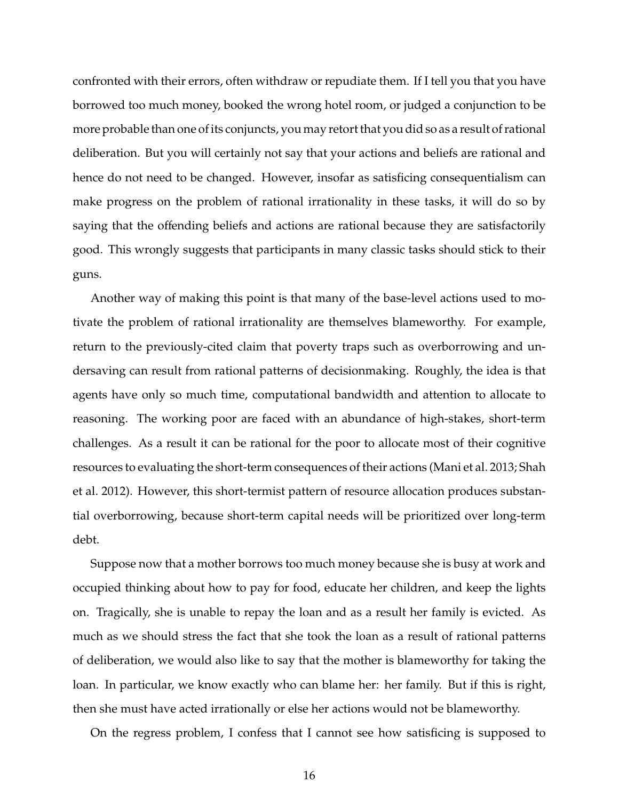confronted with their errors, often withdraw or repudiate them. If I tell you that you have borrowed too much money, booked the wrong hotel room, or judged a conjunction to be more probable than one of its conjuncts, you may retort that you did so as a result of rational deliberation. But you will certainly not say that your actions and beliefs are rational and hence do not need to be changed. However, insofar as satisficing consequentialism can make progress on the problem of rational irrationality in these tasks, it will do so by saying that the offending beliefs and actions are rational because they are satisfactorily good. This wrongly suggests that participants in many classic tasks should stick to their guns.

Another way of making this point is that many of the base-level actions used to motivate the problem of rational irrationality are themselves blameworthy. For example, return to the previously-cited claim that poverty traps such as overborrowing and undersaving can result from rational patterns of decisionmaking. Roughly, the idea is that agents have only so much time, computational bandwidth and attention to allocate to reasoning. The working poor are faced with an abundance of high-stakes, short-term challenges. As a result it can be rational for the poor to allocate most of their cognitive resources to evaluating the short-term consequences of their actions (Mani et al. 2013; Shah et al. 2012). However, this short-termist pattern of resource allocation produces substantial overborrowing, because short-term capital needs will be prioritized over long-term debt.

Suppose now that a mother borrows too much money because she is busy at work and occupied thinking about how to pay for food, educate her children, and keep the lights on. Tragically, she is unable to repay the loan and as a result her family is evicted. As much as we should stress the fact that she took the loan as a result of rational patterns of deliberation, we would also like to say that the mother is blameworthy for taking the loan. In particular, we know exactly who can blame her: her family. But if this is right, then she must have acted irrationally or else her actions would not be blameworthy.

On the regress problem, I confess that I cannot see how satisficing is supposed to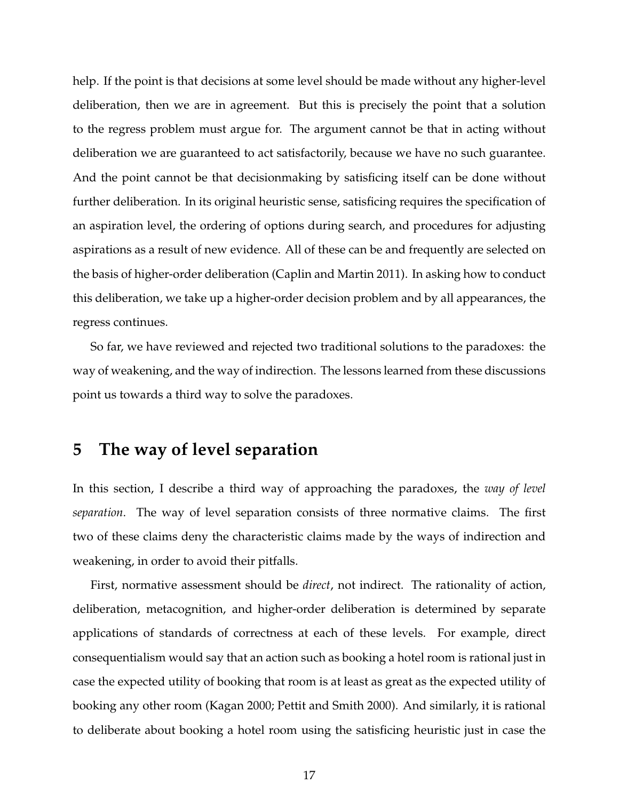help. If the point is that decisions at some level should be made without any higher-level deliberation, then we are in agreement. But this is precisely the point that a solution to the regress problem must argue for. The argument cannot be that in acting without deliberation we are guaranteed to act satisfactorily, because we have no such guarantee. And the point cannot be that decisionmaking by satisficing itself can be done without further deliberation. In its original heuristic sense, satisficing requires the specification of an aspiration level, the ordering of options during search, and procedures for adjusting aspirations as a result of new evidence. All of these can be and frequently are selected on the basis of higher-order deliberation (Caplin and Martin 2011). In asking how to conduct this deliberation, we take up a higher-order decision problem and by all appearances, the regress continues.

So far, we have reviewed and rejected two traditional solutions to the paradoxes: the way of weakening, and the way of indirection. The lessons learned from these discussions point us towards a third way to solve the paradoxes.

#### **5 The way of level separation**

In this section, I describe a third way of approaching the paradoxes, the *way of level separation*. The way of level separation consists of three normative claims. The first two of these claims deny the characteristic claims made by the ways of indirection and weakening, in order to avoid their pitfalls.

First, normative assessment should be *direct*, not indirect. The rationality of action, deliberation, metacognition, and higher-order deliberation is determined by separate applications of standards of correctness at each of these levels. For example, direct consequentialism would say that an action such as booking a hotel room is rational just in case the expected utility of booking that room is at least as great as the expected utility of booking any other room (Kagan 2000; Pettit and Smith 2000). And similarly, it is rational to deliberate about booking a hotel room using the satisficing heuristic just in case the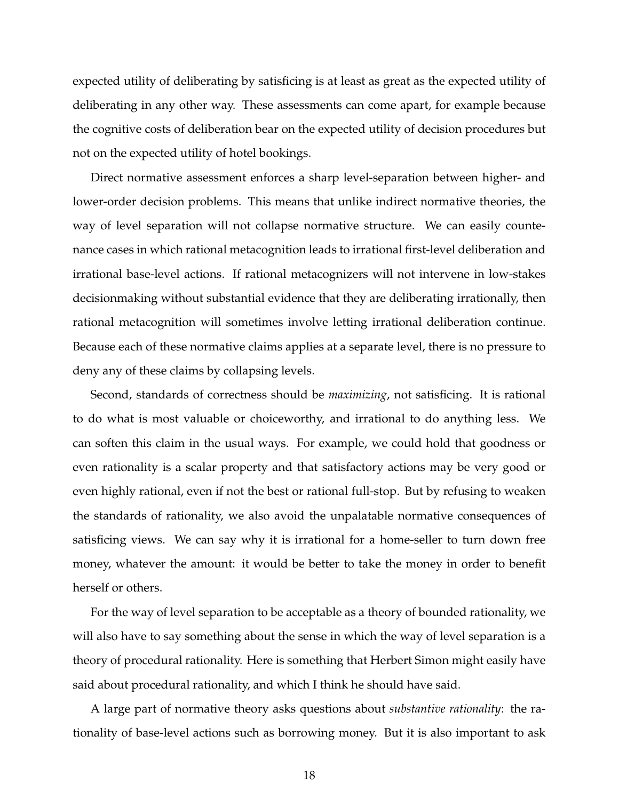expected utility of deliberating by satisficing is at least as great as the expected utility of deliberating in any other way. These assessments can come apart, for example because the cognitive costs of deliberation bear on the expected utility of decision procedures but not on the expected utility of hotel bookings.

Direct normative assessment enforces a sharp level-separation between higher- and lower-order decision problems. This means that unlike indirect normative theories, the way of level separation will not collapse normative structure. We can easily countenance cases in which rational metacognition leads to irrational first-level deliberation and irrational base-level actions. If rational metacognizers will not intervene in low-stakes decisionmaking without substantial evidence that they are deliberating irrationally, then rational metacognition will sometimes involve letting irrational deliberation continue. Because each of these normative claims applies at a separate level, there is no pressure to deny any of these claims by collapsing levels.

Second, standards of correctness should be *maximizing*, not satisficing. It is rational to do what is most valuable or choiceworthy, and irrational to do anything less. We can soften this claim in the usual ways. For example, we could hold that goodness or even rationality is a scalar property and that satisfactory actions may be very good or even highly rational, even if not the best or rational full-stop. But by refusing to weaken the standards of rationality, we also avoid the unpalatable normative consequences of satisficing views. We can say why it is irrational for a home-seller to turn down free money, whatever the amount: it would be better to take the money in order to benefit herself or others.

For the way of level separation to be acceptable as a theory of bounded rationality, we will also have to say something about the sense in which the way of level separation is a theory of procedural rationality. Here is something that Herbert Simon might easily have said about procedural rationality, and which I think he should have said.

A large part of normative theory asks questions about *substantive rationality*: the rationality of base-level actions such as borrowing money. But it is also important to ask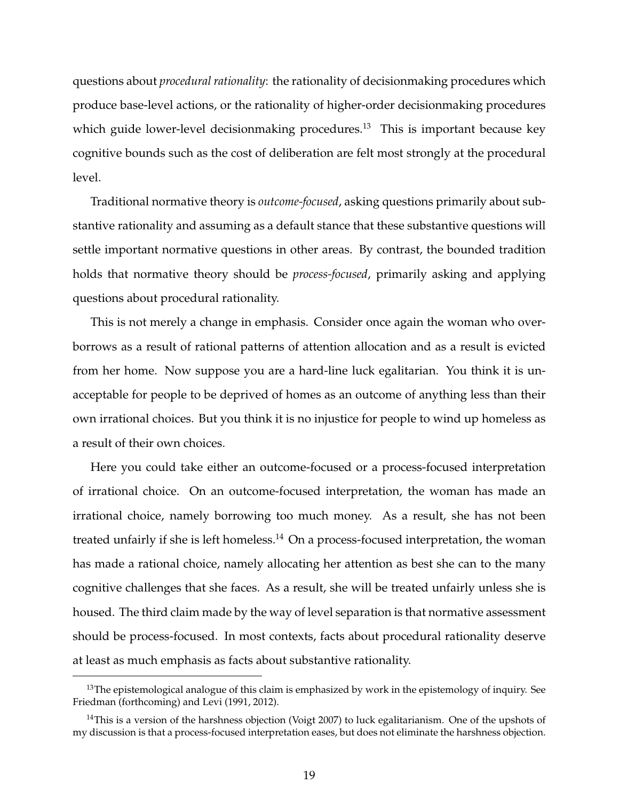questions about *procedural rationality*: the rationality of decisionmaking procedures which produce base-level actions, or the rationality of higher-order decisionmaking procedures which guide lower-level decisionmaking procedures.<sup>13</sup> This is important because key cognitive bounds such as the cost of deliberation are felt most strongly at the procedural level.

Traditional normative theory is *outcome-focused*, asking questions primarily about substantive rationality and assuming as a default stance that these substantive questions will settle important normative questions in other areas. By contrast, the bounded tradition holds that normative theory should be *process-focused*, primarily asking and applying questions about procedural rationality.

This is not merely a change in emphasis. Consider once again the woman who overborrows as a result of rational patterns of attention allocation and as a result is evicted from her home. Now suppose you are a hard-line luck egalitarian. You think it is unacceptable for people to be deprived of homes as an outcome of anything less than their own irrational choices. But you think it is no injustice for people to wind up homeless as a result of their own choices.

Here you could take either an outcome-focused or a process-focused interpretation of irrational choice. On an outcome-focused interpretation, the woman has made an irrational choice, namely borrowing too much money. As a result, she has not been treated unfairly if she is left homeless.<sup>14</sup> On a process-focused interpretation, the woman has made a rational choice, namely allocating her attention as best she can to the many cognitive challenges that she faces. As a result, she will be treated unfairly unless she is housed. The third claim made by the way of level separation is that normative assessment should be process-focused. In most contexts, facts about procedural rationality deserve at least as much emphasis as facts about substantive rationality.

<sup>&</sup>lt;sup>13</sup>The epistemological analogue of this claim is emphasized by work in the epistemology of inquiry. See Friedman (forthcoming) and Levi (1991, 2012).

<sup>&</sup>lt;sup>14</sup>This is a version of the harshness objection (Voigt 2007) to luck egalitarianism. One of the upshots of my discussion is that a process-focused interpretation eases, but does not eliminate the harshness objection.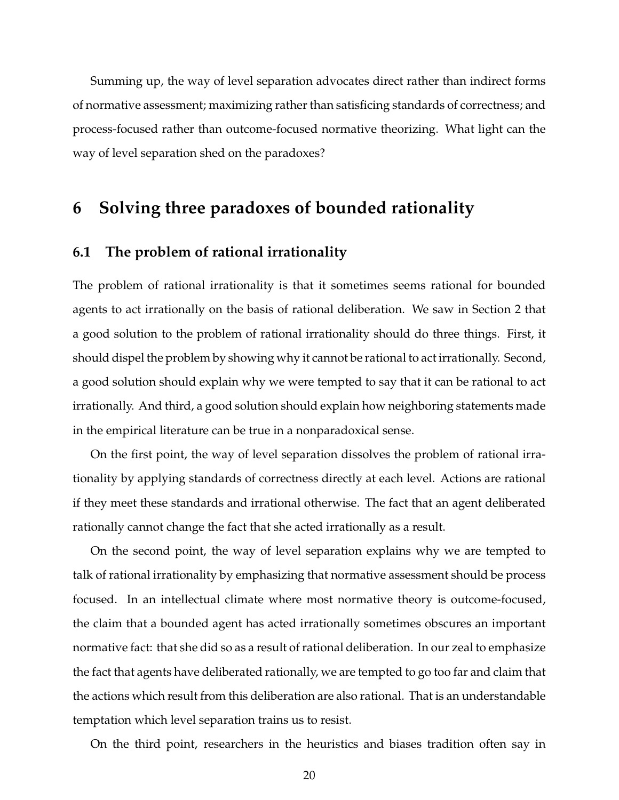Summing up, the way of level separation advocates direct rather than indirect forms of normative assessment; maximizing rather than satisficing standards of correctness; and process-focused rather than outcome-focused normative theorizing. What light can the way of level separation shed on the paradoxes?

## **6 Solving three paradoxes of bounded rationality**

#### **6.1 The problem of rational irrationality**

The problem of rational irrationality is that it sometimes seems rational for bounded agents to act irrationally on the basis of rational deliberation. We saw in Section 2 that a good solution to the problem of rational irrationality should do three things. First, it should dispel the problem by showing why it cannot be rational to act irrationally. Second, a good solution should explain why we were tempted to say that it can be rational to act irrationally. And third, a good solution should explain how neighboring statements made in the empirical literature can be true in a nonparadoxical sense.

On the first point, the way of level separation dissolves the problem of rational irrationality by applying standards of correctness directly at each level. Actions are rational if they meet these standards and irrational otherwise. The fact that an agent deliberated rationally cannot change the fact that she acted irrationally as a result.

On the second point, the way of level separation explains why we are tempted to talk of rational irrationality by emphasizing that normative assessment should be process focused. In an intellectual climate where most normative theory is outcome-focused, the claim that a bounded agent has acted irrationally sometimes obscures an important normative fact: that she did so as a result of rational deliberation. In our zeal to emphasize the fact that agents have deliberated rationally, we are tempted to go too far and claim that the actions which result from this deliberation are also rational. That is an understandable temptation which level separation trains us to resist.

On the third point, researchers in the heuristics and biases tradition often say in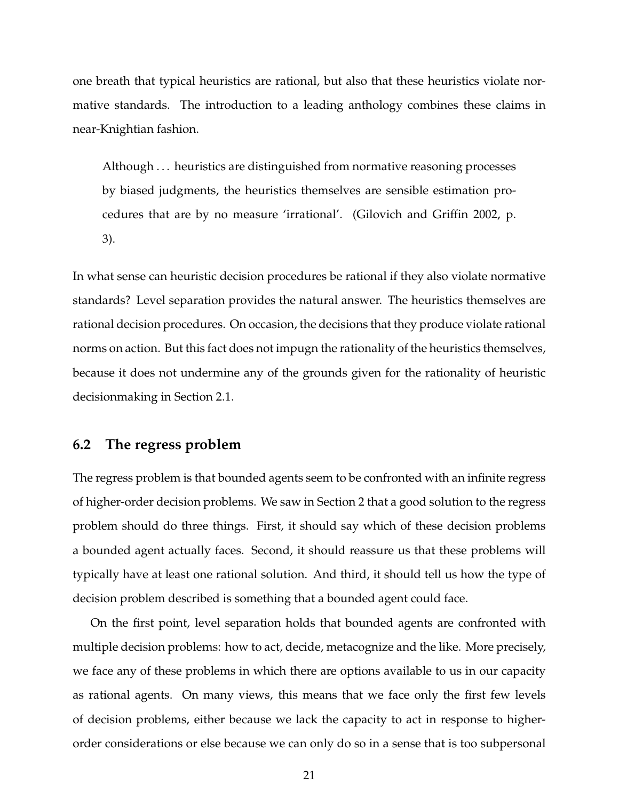one breath that typical heuristics are rational, but also that these heuristics violate normative standards. The introduction to a leading anthology combines these claims in near-Knightian fashion.

Although . . . heuristics are distinguished from normative reasoning processes by biased judgments, the heuristics themselves are sensible estimation procedures that are by no measure 'irrational'. (Gilovich and Griffin 2002, p. 3).

In what sense can heuristic decision procedures be rational if they also violate normative standards? Level separation provides the natural answer. The heuristics themselves are rational decision procedures. On occasion, the decisions that they produce violate rational norms on action. But this fact does not impugn the rationality of the heuristics themselves, because it does not undermine any of the grounds given for the rationality of heuristic decisionmaking in Section 2.1.

#### **6.2 The regress problem**

The regress problem is that bounded agents seem to be confronted with an infinite regress of higher-order decision problems. We saw in Section 2 that a good solution to the regress problem should do three things. First, it should say which of these decision problems a bounded agent actually faces. Second, it should reassure us that these problems will typically have at least one rational solution. And third, it should tell us how the type of decision problem described is something that a bounded agent could face.

On the first point, level separation holds that bounded agents are confronted with multiple decision problems: how to act, decide, metacognize and the like. More precisely, we face any of these problems in which there are options available to us in our capacity as rational agents. On many views, this means that we face only the first few levels of decision problems, either because we lack the capacity to act in response to higherorder considerations or else because we can only do so in a sense that is too subpersonal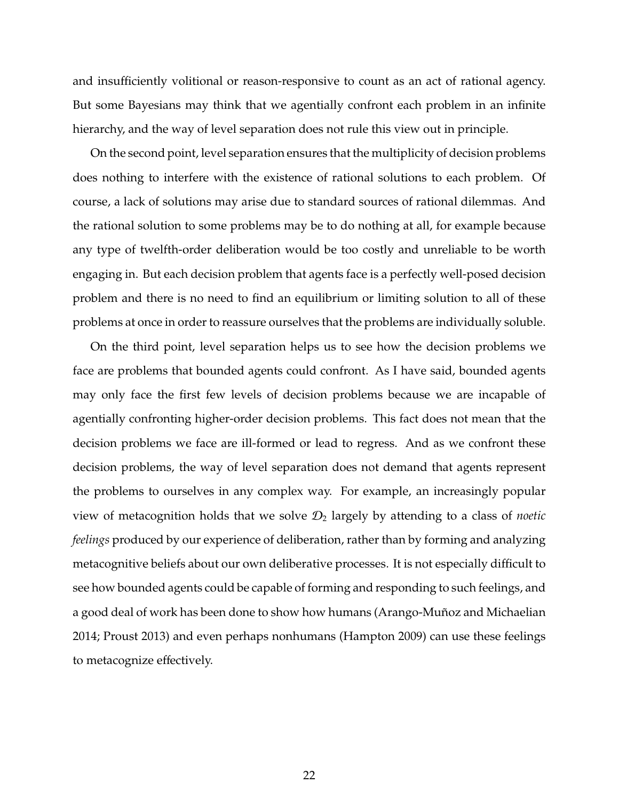and insufficiently volitional or reason-responsive to count as an act of rational agency. But some Bayesians may think that we agentially confront each problem in an infinite hierarchy, and the way of level separation does not rule this view out in principle.

On the second point, level separation ensures that the multiplicity of decision problems does nothing to interfere with the existence of rational solutions to each problem. Of course, a lack of solutions may arise due to standard sources of rational dilemmas. And the rational solution to some problems may be to do nothing at all, for example because any type of twelfth-order deliberation would be too costly and unreliable to be worth engaging in. But each decision problem that agents face is a perfectly well-posed decision problem and there is no need to find an equilibrium or limiting solution to all of these problems at once in order to reassure ourselves that the problems are individually soluble.

On the third point, level separation helps us to see how the decision problems we face are problems that bounded agents could confront. As I have said, bounded agents may only face the first few levels of decision problems because we are incapable of agentially confronting higher-order decision problems. This fact does not mean that the decision problems we face are ill-formed or lead to regress. And as we confront these decision problems, the way of level separation does not demand that agents represent the problems to ourselves in any complex way. For example, an increasingly popular view of metacognition holds that we solve  $\mathcal{D}_2$  largely by attending to a class of *noetic feelings* produced by our experience of deliberation, rather than by forming and analyzing metacognitive beliefs about our own deliberative processes. It is not especially difficult to see how bounded agents could be capable of forming and responding to such feelings, and a good deal of work has been done to show how humans (Arango-Muñoz and Michaelian 2014; Proust 2013) and even perhaps nonhumans (Hampton 2009) can use these feelings to metacognize effectively.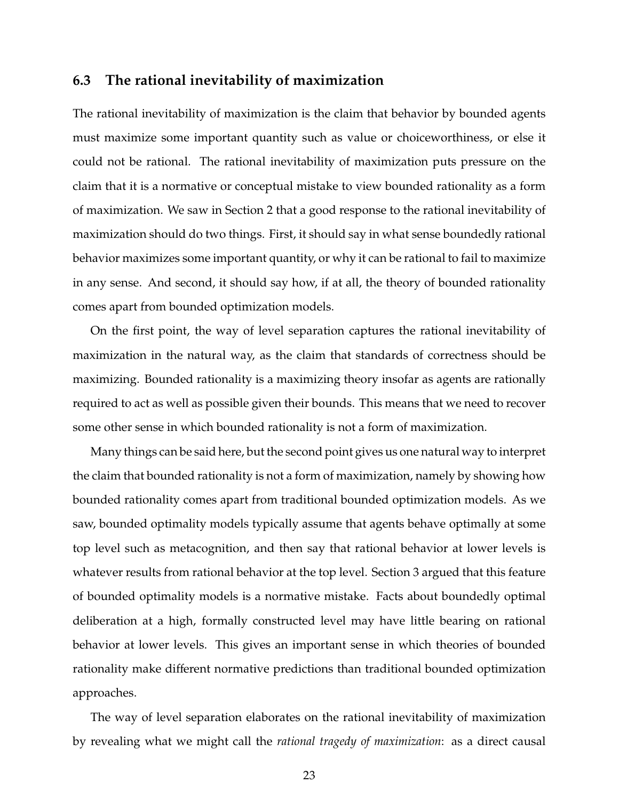#### **6.3 The rational inevitability of maximization**

The rational inevitability of maximization is the claim that behavior by bounded agents must maximize some important quantity such as value or choiceworthiness, or else it could not be rational. The rational inevitability of maximization puts pressure on the claim that it is a normative or conceptual mistake to view bounded rationality as a form of maximization. We saw in Section 2 that a good response to the rational inevitability of maximization should do two things. First, it should say in what sense boundedly rational behavior maximizes some important quantity, or why it can be rational to fail to maximize in any sense. And second, it should say how, if at all, the theory of bounded rationality comes apart from bounded optimization models.

On the first point, the way of level separation captures the rational inevitability of maximization in the natural way, as the claim that standards of correctness should be maximizing. Bounded rationality is a maximizing theory insofar as agents are rationally required to act as well as possible given their bounds. This means that we need to recover some other sense in which bounded rationality is not a form of maximization.

Many things can be said here, but the second point gives us one natural way to interpret the claim that bounded rationality is not a form of maximization, namely by showing how bounded rationality comes apart from traditional bounded optimization models. As we saw, bounded optimality models typically assume that agents behave optimally at some top level such as metacognition, and then say that rational behavior at lower levels is whatever results from rational behavior at the top level. Section 3 argued that this feature of bounded optimality models is a normative mistake. Facts about boundedly optimal deliberation at a high, formally constructed level may have little bearing on rational behavior at lower levels. This gives an important sense in which theories of bounded rationality make different normative predictions than traditional bounded optimization approaches.

The way of level separation elaborates on the rational inevitability of maximization by revealing what we might call the *rational tragedy of maximization*: as a direct causal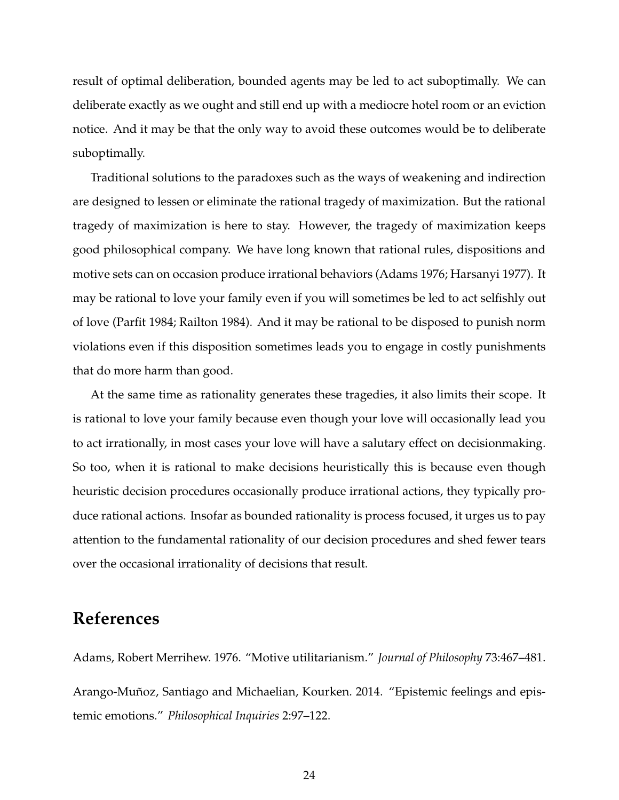result of optimal deliberation, bounded agents may be led to act suboptimally. We can deliberate exactly as we ought and still end up with a mediocre hotel room or an eviction notice. And it may be that the only way to avoid these outcomes would be to deliberate suboptimally.

Traditional solutions to the paradoxes such as the ways of weakening and indirection are designed to lessen or eliminate the rational tragedy of maximization. But the rational tragedy of maximization is here to stay. However, the tragedy of maximization keeps good philosophical company. We have long known that rational rules, dispositions and motive sets can on occasion produce irrational behaviors (Adams 1976; Harsanyi 1977). It may be rational to love your family even if you will sometimes be led to act selfishly out of love (Parfit 1984; Railton 1984). And it may be rational to be disposed to punish norm violations even if this disposition sometimes leads you to engage in costly punishments that do more harm than good.

At the same time as rationality generates these tragedies, it also limits their scope. It is rational to love your family because even though your love will occasionally lead you to act irrationally, in most cases your love will have a salutary effect on decisionmaking. So too, when it is rational to make decisions heuristically this is because even though heuristic decision procedures occasionally produce irrational actions, they typically produce rational actions. Insofar as bounded rationality is process focused, it urges us to pay attention to the fundamental rationality of our decision procedures and shed fewer tears over the occasional irrationality of decisions that result.

## **References**

Adams, Robert Merrihew. 1976. "Motive utilitarianism." *Journal of Philosophy* 73:467–481. Arango-Muñoz, Santiago and Michaelian, Kourken. 2014. "Epistemic feelings and epistemic emotions." *Philosophical Inquiries* 2:97–122.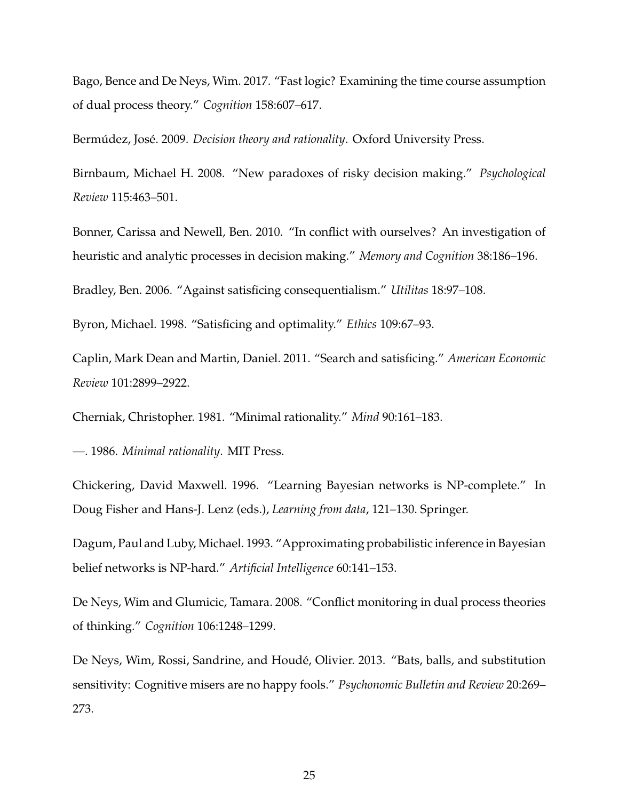Bago, Bence and De Neys, Wim. 2017. "Fast logic? Examining the time course assumption of dual process theory." *Cognition* 158:607–617.

Bermúdez, José. 2009. *Decision theory and rationality*. Oxford University Press.

Birnbaum, Michael H. 2008. "New paradoxes of risky decision making." *Psychological Review* 115:463–501.

Bonner, Carissa and Newell, Ben. 2010. "In conflict with ourselves? An investigation of heuristic and analytic processes in decision making." *Memory and Cognition* 38:186–196.

Bradley, Ben. 2006. "Against satisficing consequentialism." *Utilitas* 18:97–108.

Byron, Michael. 1998. "Satisficing and optimality." *Ethics* 109:67–93.

Caplin, Mark Dean and Martin, Daniel. 2011. "Search and satisficing." *American Economic Review* 101:2899–2922.

Cherniak, Christopher. 1981. "Minimal rationality." *Mind* 90:161–183.

—. 1986. *Minimal rationality*. MIT Press.

Chickering, David Maxwell. 1996. "Learning Bayesian networks is NP-complete." In Doug Fisher and Hans-J. Lenz (eds.), *Learning from data*, 121–130. Springer.

Dagum, Paul and Luby, Michael. 1993. "Approximating probabilistic inference in Bayesian belief networks is NP-hard." *Artificial Intelligence* 60:141–153.

De Neys, Wim and Glumicic, Tamara. 2008. "Conflict monitoring in dual process theories of thinking." *Cognition* 106:1248–1299.

De Neys, Wim, Rossi, Sandrine, and Houdé, Olivier. 2013. "Bats, balls, and substitution sensitivity: Cognitive misers are no happy fools." *Psychonomic Bulletin and Review* 20:269– 273.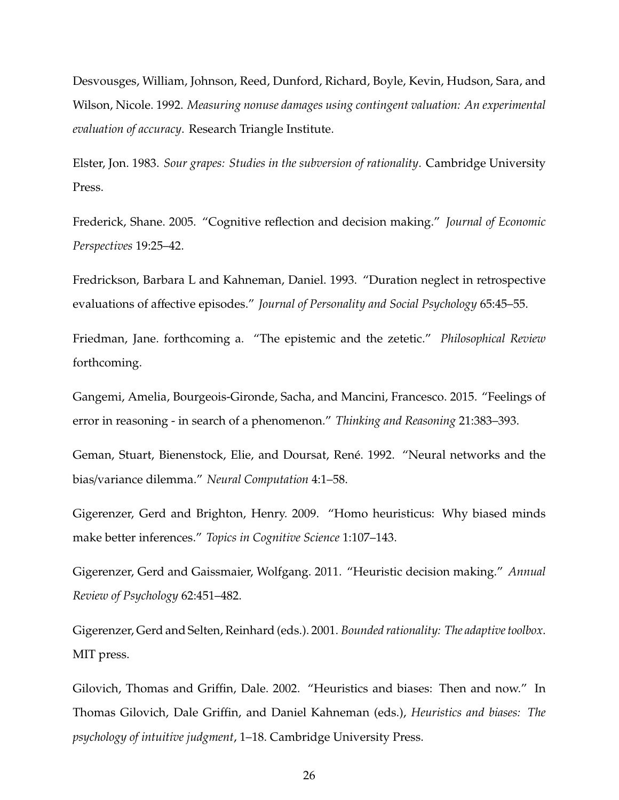Desvousges, William, Johnson, Reed, Dunford, Richard, Boyle, Kevin, Hudson, Sara, and Wilson, Nicole. 1992. *Measuring nonuse damages using contingent valuation: An experimental evaluation of accuracy*. Research Triangle Institute.

Elster, Jon. 1983. *Sour grapes: Studies in the subversion of rationality*. Cambridge University Press.

Frederick, Shane. 2005. "Cognitive reflection and decision making." *Journal of Economic Perspectives* 19:25–42.

Fredrickson, Barbara L and Kahneman, Daniel. 1993. "Duration neglect in retrospective evaluations of affective episodes." *Journal of Personality and Social Psychology* 65:45–55.

Friedman, Jane. forthcoming a. "The epistemic and the zetetic." *Philosophical Review* forthcoming.

Gangemi, Amelia, Bourgeois-Gironde, Sacha, and Mancini, Francesco. 2015. "Feelings of error in reasoning - in search of a phenomenon." *Thinking and Reasoning* 21:383–393.

Geman, Stuart, Bienenstock, Elie, and Doursat, René. 1992. "Neural networks and the bias/variance dilemma." *Neural Computation* 4:1–58.

Gigerenzer, Gerd and Brighton, Henry. 2009. "Homo heuristicus: Why biased minds make better inferences." *Topics in Cognitive Science* 1:107–143.

Gigerenzer, Gerd and Gaissmaier, Wolfgang. 2011. "Heuristic decision making." *Annual Review of Psychology* 62:451–482.

Gigerenzer, Gerd and Selten, Reinhard (eds.). 2001. *Bounded rationality: The adaptive toolbox*. MIT press.

Gilovich, Thomas and Griffin, Dale. 2002. "Heuristics and biases: Then and now." In Thomas Gilovich, Dale Griffin, and Daniel Kahneman (eds.), *Heuristics and biases: The psychology of intuitive judgment*, 1–18. Cambridge University Press.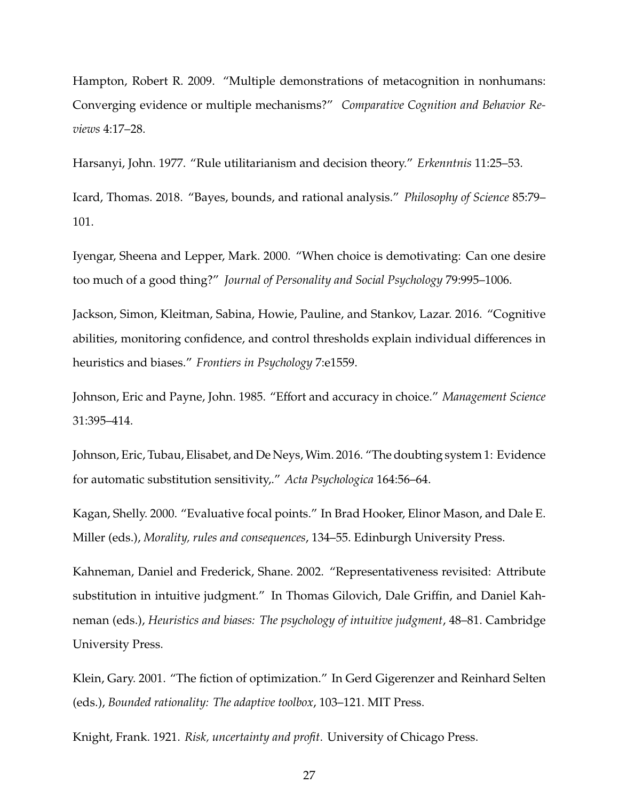Hampton, Robert R. 2009. "Multiple demonstrations of metacognition in nonhumans: Converging evidence or multiple mechanisms?" *Comparative Cognition and Behavior Reviews* 4:17–28.

Harsanyi, John. 1977. "Rule utilitarianism and decision theory." *Erkenntnis* 11:25–53.

Icard, Thomas. 2018. "Bayes, bounds, and rational analysis." *Philosophy of Science* 85:79– 101.

Iyengar, Sheena and Lepper, Mark. 2000. "When choice is demotivating: Can one desire too much of a good thing?" *Journal of Personality and Social Psychology* 79:995–1006.

Jackson, Simon, Kleitman, Sabina, Howie, Pauline, and Stankov, Lazar. 2016. "Cognitive abilities, monitoring confidence, and control thresholds explain individual differences in heuristics and biases." *Frontiers in Psychology* 7:e1559.

Johnson, Eric and Payne, John. 1985. "Effort and accuracy in choice." *Management Science* 31:395–414.

Johnson, Eric, Tubau, Elisabet, and De Neys, Wim. 2016. "The doubting system 1: Evidence for automatic substitution sensitivity,." *Acta Psychologica* 164:56–64.

Kagan, Shelly. 2000. "Evaluative focal points." In Brad Hooker, Elinor Mason, and Dale E. Miller (eds.), *Morality, rules and consequences*, 134–55. Edinburgh University Press.

Kahneman, Daniel and Frederick, Shane. 2002. "Representativeness revisited: Attribute substitution in intuitive judgment." In Thomas Gilovich, Dale Griffin, and Daniel Kahneman (eds.), *Heuristics and biases: The psychology of intuitive judgment*, 48–81. Cambridge University Press.

Klein, Gary. 2001. "The fiction of optimization." In Gerd Gigerenzer and Reinhard Selten (eds.), *Bounded rationality: The adaptive toolbox*, 103–121. MIT Press.

Knight, Frank. 1921. *Risk, uncertainty and profit*. University of Chicago Press.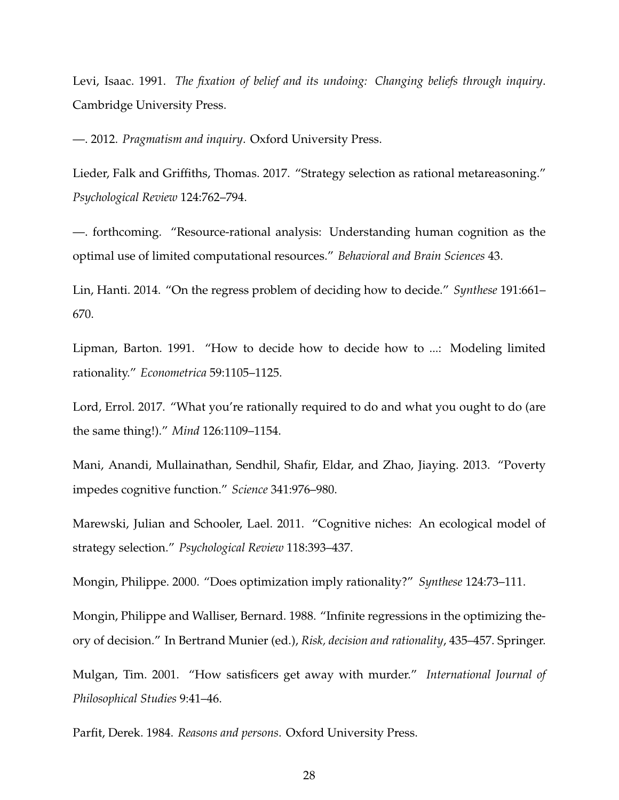Levi, Isaac. 1991. *The fixation of belief and its undoing: Changing beliefs through inquiry*. Cambridge University Press.

—. 2012. *Pragmatism and inquiry*. Oxford University Press.

Lieder, Falk and Griffiths, Thomas. 2017. "Strategy selection as rational metareasoning." *Psychological Review* 124:762–794.

—. forthcoming. "Resource-rational analysis: Understanding human cognition as the optimal use of limited computational resources." *Behavioral and Brain Sciences* 43.

Lin, Hanti. 2014. "On the regress problem of deciding how to decide." *Synthese* 191:661– 670.

Lipman, Barton. 1991. "How to decide how to decide how to ...: Modeling limited rationality." *Econometrica* 59:1105–1125.

Lord, Errol. 2017. "What you're rationally required to do and what you ought to do (are the same thing!)." *Mind* 126:1109–1154.

Mani, Anandi, Mullainathan, Sendhil, Shafir, Eldar, and Zhao, Jiaying. 2013. "Poverty impedes cognitive function." *Science* 341:976–980.

Marewski, Julian and Schooler, Lael. 2011. "Cognitive niches: An ecological model of strategy selection." *Psychological Review* 118:393–437.

Mongin, Philippe. 2000. "Does optimization imply rationality?" *Synthese* 124:73–111.

Mongin, Philippe and Walliser, Bernard. 1988. "Infinite regressions in the optimizing theory of decision." In Bertrand Munier (ed.), *Risk, decision and rationality*, 435–457. Springer.

Mulgan, Tim. 2001. "How satisficers get away with murder." *International Journal of Philosophical Studies* 9:41–46.

Parfit, Derek. 1984. *Reasons and persons*. Oxford University Press.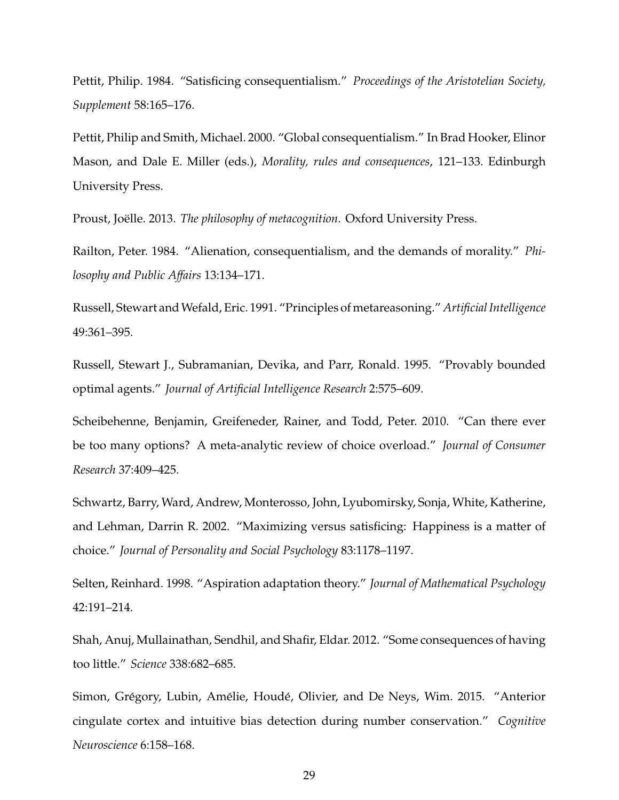Pettit, Philip. 1984. "Satisficing consequentialism." *Proceedings of the Aristotelian Society, Supplement* 58:165–176.

Pettit, Philip and Smith, Michael. 2000. "Global consequentialism." In Brad Hooker, Elinor Mason, and Dale E. Miller (eds.), *Morality, rules and consequences*, 121–133. Edinburgh University Press.

Proust, Joëlle. 2013. The philosophy of metacognition. Oxford University Press.

Railton, Peter. 1984. "Alienation, consequentialism, and the demands of morality." *Philosophy and Public A*ff*airs* 13:134–171.

Russell, Stewart andWefald, Eric. 1991. "Principles of metareasoning." *Artificial Intelligence* 49:361–395.

Russell, Stewart J., Subramanian, Devika, and Parr, Ronald. 1995. "Provably bounded optimal agents." *Journal of Artificial Intelligence Research* 2:575–609.

Scheibehenne, Benjamin, Greifeneder, Rainer, and Todd, Peter. 2010. "Can there ever be too many options? A meta-analytic review of choice overload." *Journal of Consumer Research* 37:409–425.

Schwartz, Barry, Ward, Andrew, Monterosso, John, Lyubomirsky, Sonja, White, Katherine, and Lehman, Darrin R. 2002. "Maximizing versus satisficing: Happiness is a matter of choice." *Journal of Personality and Social Psychology* 83:1178–1197.

Selten, Reinhard. 1998. "Aspiration adaptation theory." *Journal of Mathematical Psychology* 42:191–214.

Shah, Anuj, Mullainathan, Sendhil, and Shafir, Eldar. 2012. "Some consequences of having too little." *Science* 338:682–685.

Simon, Grégory, Lubin, Amélie, Houdé, Olivier, and De Neys, Wim. 2015. "Anterior cingulate cortex and intuitive bias detection during number conservation." *Cognitive Neuroscience* 6:158–168.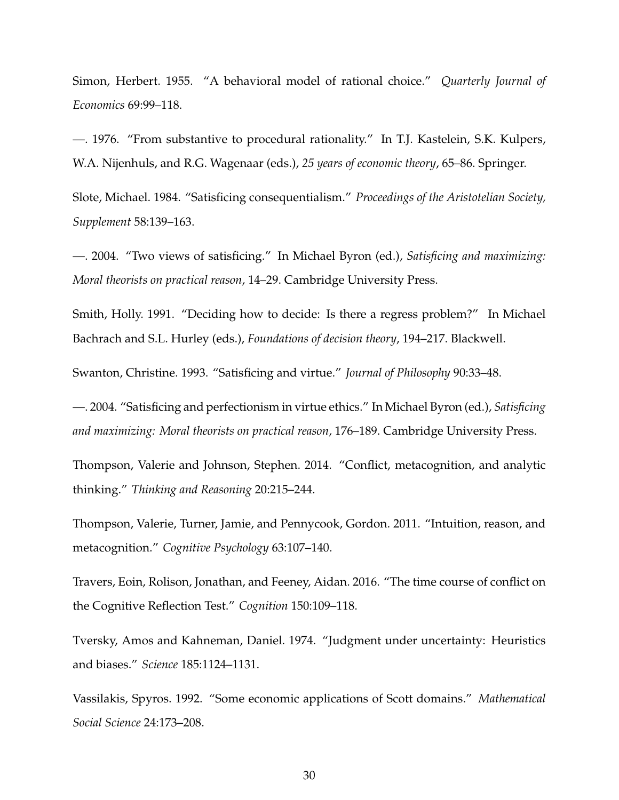Simon, Herbert. 1955. "A behavioral model of rational choice." *Quarterly Journal of Economics* 69:99–118.

—. 1976. "From substantive to procedural rationality." In T.J. Kastelein, S.K. Kulpers, W.A. Nijenhuls, and R.G. Wagenaar (eds.), *25 years of economic theory*, 65–86. Springer.

Slote, Michael. 1984. "Satisficing consequentialism." *Proceedings of the Aristotelian Society, Supplement* 58:139–163.

—. 2004. "Two views of satisficing." In Michael Byron (ed.), *Satisficing and maximizing: Moral theorists on practical reason*, 14–29. Cambridge University Press.

Smith, Holly. 1991. "Deciding how to decide: Is there a regress problem?" In Michael Bachrach and S.L. Hurley (eds.), *Foundations of decision theory*, 194–217. Blackwell.

Swanton, Christine. 1993. "Satisficing and virtue." *Journal of Philosophy* 90:33–48.

—. 2004. "Satisficing and perfectionism in virtue ethics." In Michael Byron (ed.), *Satisficing and maximizing: Moral theorists on practical reason*, 176–189. Cambridge University Press.

Thompson, Valerie and Johnson, Stephen. 2014. "Conflict, metacognition, and analytic thinking." *Thinking and Reasoning* 20:215–244.

Thompson, Valerie, Turner, Jamie, and Pennycook, Gordon. 2011. "Intuition, reason, and metacognition." *Cognitive Psychology* 63:107–140.

Travers, Eoin, Rolison, Jonathan, and Feeney, Aidan. 2016. "The time course of conflict on the Cognitive Reflection Test." *Cognition* 150:109–118.

Tversky, Amos and Kahneman, Daniel. 1974. "Judgment under uncertainty: Heuristics and biases." *Science* 185:1124–1131.

Vassilakis, Spyros. 1992. "Some economic applications of Scott domains." *Mathematical Social Science* 24:173–208.